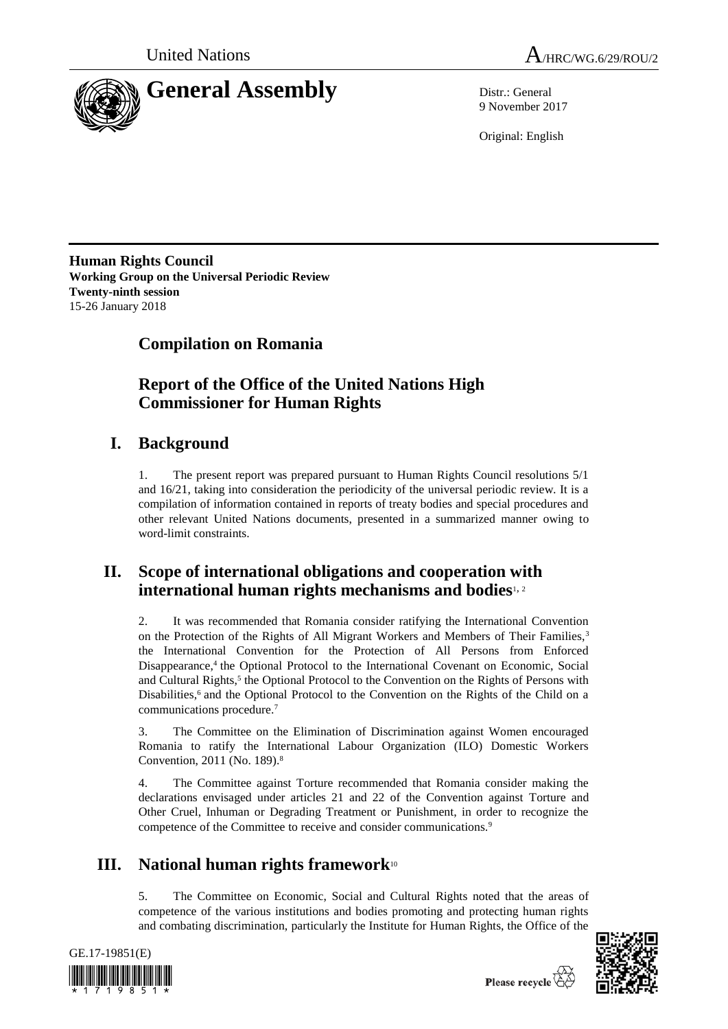



9 November 2017

Original: English

**Human Rights Council Working Group on the Universal Periodic Review Twenty-ninth session** 15-26 January 2018

# **Compilation on Romania**

# **Report of the Office of the United Nations High Commissioner for Human Rights**

# **I. Background**

1. The present report was prepared pursuant to Human Rights Council resolutions 5/1 and 16/21, taking into consideration the periodicity of the universal periodic review. It is a compilation of information contained in reports of treaty bodies and special procedures and other relevant United Nations documents, presented in a summarized manner owing to word-limit constraints.

# **II. Scope of international obligations and cooperation with international human rights mechanisms and bodies**1, <sup>2</sup>

2. It was recommended that Romania consider ratifying the International Convention on the Protection of the Rights of All Migrant Workers and Members of Their Families,<sup>3</sup> the International Convention for the Protection of All Persons from Enforced Disappearance,<sup>4</sup> the Optional Protocol to the International Covenant on Economic, Social and Cultural Rights,<sup>5</sup> the Optional Protocol to the Convention on the Rights of Persons with Disabilities,<sup>6</sup> and the Optional Protocol to the Convention on the Rights of the Child on a communications procedure.<sup>7</sup>

3. The Committee on the Elimination of Discrimination against Women encouraged Romania to ratify the International Labour Organization (ILO) Domestic Workers Convention, 2011 (No. 189).<sup>8</sup>

4. The Committee against Torture recommended that Romania consider making the declarations envisaged under articles 21 and 22 of the Convention against Torture and Other Cruel, Inhuman or Degrading Treatment or Punishment, in order to recognize the competence of the Committee to receive and consider communications.<sup>9</sup>

# **III. National human rights framework**<sup>10</sup>

5. The Committee on Economic, Social and Cultural Rights noted that the areas of competence of the various institutions and bodies promoting and protecting human rights and combating discrimination, particularly the Institute for Human Rights, the Office of the



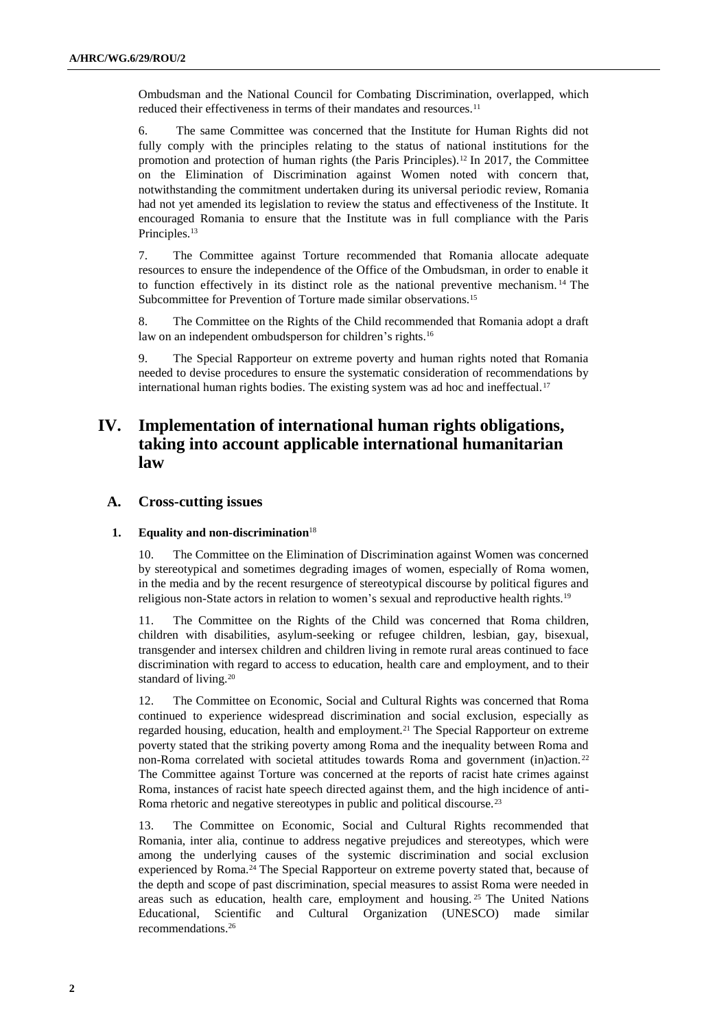Ombudsman and the National Council for Combating Discrimination, overlapped, which reduced their effectiveness in terms of their mandates and resources.<sup>11</sup>

6. The same Committee was concerned that the Institute for Human Rights did not fully comply with the principles relating to the status of national institutions for the promotion and protection of human rights (the Paris Principles).<sup>12</sup> In 2017, the Committee on the Elimination of Discrimination against Women noted with concern that, notwithstanding the commitment undertaken during its universal periodic review, Romania had not yet amended its legislation to review the status and effectiveness of the Institute. It encouraged Romania to ensure that the Institute was in full compliance with the Paris Principles.<sup>13</sup>

7. The Committee against Torture recommended that Romania allocate adequate resources to ensure the independence of the Office of the Ombudsman, in order to enable it to function effectively in its distinct role as the national preventive mechanism. <sup>14</sup> The Subcommittee for Prevention of Torture made similar observations.<sup>15</sup>

8. The Committee on the Rights of the Child recommended that Romania adopt a draft law on an independent ombudsperson for children's rights.<sup>16</sup>

9. The Special Rapporteur on extreme poverty and human rights noted that Romania needed to devise procedures to ensure the systematic consideration of recommendations by international human rights bodies. The existing system was ad hoc and ineffectual.<sup>17</sup>

# **IV. Implementation of international human rights obligations, taking into account applicable international humanitarian law**

## **A. Cross-cutting issues**

## **1. Equality and non-discrimination**<sup>18</sup>

10. The Committee on the Elimination of Discrimination against Women was concerned by stereotypical and sometimes degrading images of women, especially of Roma women, in the media and by the recent resurgence of stereotypical discourse by political figures and religious non-State actors in relation to women's sexual and reproductive health rights.<sup>19</sup>

The Committee on the Rights of the Child was concerned that Roma children, children with disabilities, asylum-seeking or refugee children, lesbian, gay, bisexual, transgender and intersex children and children living in remote rural areas continued to face discrimination with regard to access to education, health care and employment, and to their standard of living.<sup>20</sup>

12. The Committee on Economic, Social and Cultural Rights was concerned that Roma continued to experience widespread discrimination and social exclusion, especially as regarded housing, education, health and employment.<sup>21</sup> The Special Rapporteur on extreme poverty stated that the striking poverty among Roma and the inequality between Roma and non-Roma correlated with societal attitudes towards Roma and government (in)action.<sup>22</sup> The Committee against Torture was concerned at the reports of racist hate crimes against Roma, instances of racist hate speech directed against them, and the high incidence of anti-Roma rhetoric and negative stereotypes in public and political discourse.<sup>23</sup>

13. The Committee on Economic, Social and Cultural Rights recommended that Romania, inter alia, continue to address negative prejudices and stereotypes, which were among the underlying causes of the systemic discrimination and social exclusion experienced by Roma.<sup>24</sup> The Special Rapporteur on extreme poverty stated that, because of the depth and scope of past discrimination, special measures to assist Roma were needed in areas such as education, health care, employment and housing. <sup>25</sup> The United Nations Educational, Scientific and Cultural Organization (UNESCO) made similar recommendations.26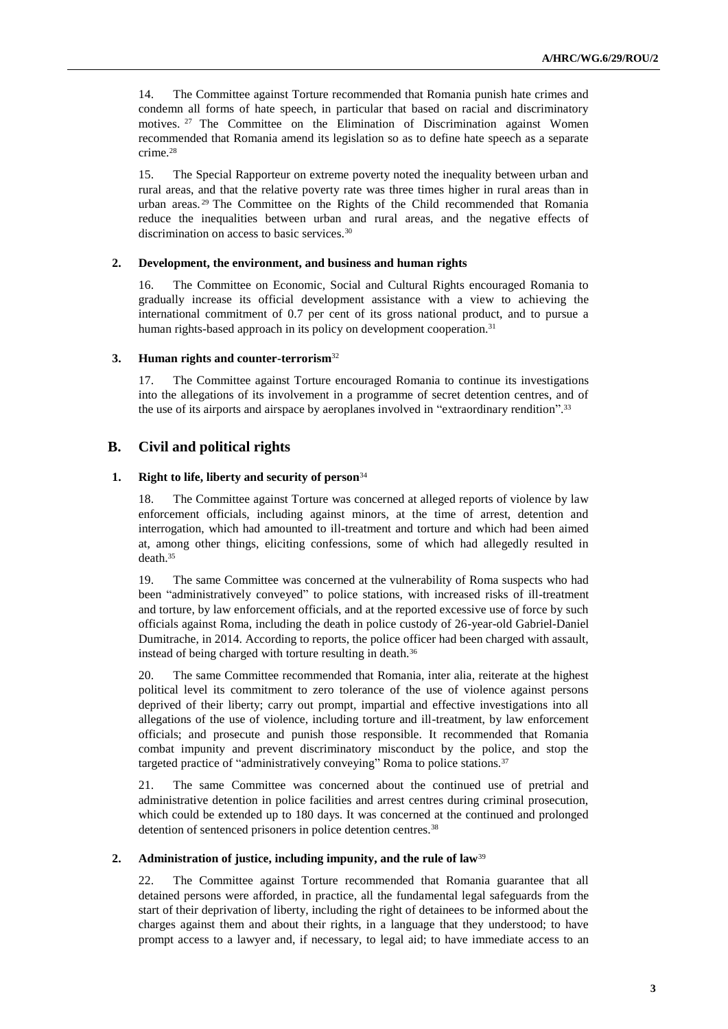14. The Committee against Torture recommended that Romania punish hate crimes and condemn all forms of hate speech, in particular that based on racial and discriminatory motives. <sup>27</sup> The Committee on the Elimination of Discrimination against Women recommended that Romania amend its legislation so as to define hate speech as a separate crime.<sup>28</sup>

15. The Special Rapporteur on extreme poverty noted the inequality between urban and rural areas, and that the relative poverty rate was three times higher in rural areas than in urban areas. <sup>29</sup> The Committee on the Rights of the Child recommended that Romania reduce the inequalities between urban and rural areas, and the negative effects of discrimination on access to basic services.<sup>30</sup>

### **2. Development, the environment, and business and human rights**

16. The Committee on Economic, Social and Cultural Rights encouraged Romania to gradually increase its official development assistance with a view to achieving the international commitment of 0.7 per cent of its gross national product, and to pursue a human rights-based approach in its policy on development cooperation.<sup>31</sup>

### **3. Human rights and counter-terrorism**<sup>32</sup>

17. The Committee against Torture encouraged Romania to continue its investigations into the allegations of its involvement in a programme of secret detention centres, and of the use of its airports and airspace by aeroplanes involved in "extraordinary rendition".<sup>33</sup>

# **B. Civil and political rights**

## **1. Right to life, liberty and security of person**<sup>34</sup>

18. The Committee against Torture was concerned at alleged reports of violence by law enforcement officials, including against minors, at the time of arrest, detention and interrogation, which had amounted to ill-treatment and torture and which had been aimed at, among other things, eliciting confessions, some of which had allegedly resulted in death.<sup>35</sup>

19. The same Committee was concerned at the vulnerability of Roma suspects who had been "administratively conveyed" to police stations, with increased risks of ill-treatment and torture, by law enforcement officials, and at the reported excessive use of force by such officials against Roma, including the death in police custody of 26-year-old Gabriel-Daniel Dumitrache, in 2014. According to reports, the police officer had been charged with assault, instead of being charged with torture resulting in death.<sup>36</sup>

20. The same Committee recommended that Romania, inter alia, reiterate at the highest political level its commitment to zero tolerance of the use of violence against persons deprived of their liberty; carry out prompt, impartial and effective investigations into all allegations of the use of violence, including torture and ill-treatment, by law enforcement officials; and prosecute and punish those responsible. It recommended that Romania combat impunity and prevent discriminatory misconduct by the police, and stop the targeted practice of "administratively conveying" Roma to police stations.<sup>37</sup>

21. The same Committee was concerned about the continued use of pretrial and administrative detention in police facilities and arrest centres during criminal prosecution, which could be extended up to 180 days. It was concerned at the continued and prolonged detention of sentenced prisoners in police detention centres.<sup>38</sup>

## **2. Administration of justice, including impunity, and the rule of law**<sup>39</sup>

22. The Committee against Torture recommended that Romania guarantee that all detained persons were afforded, in practice, all the fundamental legal safeguards from the start of their deprivation of liberty, including the right of detainees to be informed about the charges against them and about their rights, in a language that they understood; to have prompt access to a lawyer and, if necessary, to legal aid; to have immediate access to an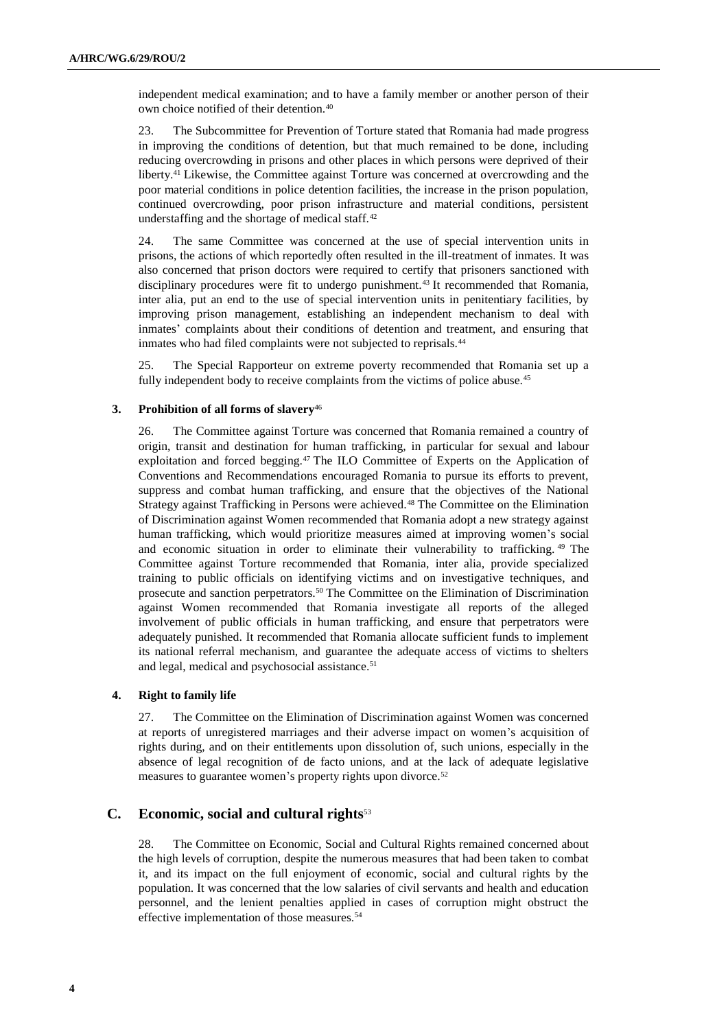independent medical examination; and to have a family member or another person of their own choice notified of their detention.<sup>40</sup>

23. The Subcommittee for Prevention of Torture stated that Romania had made progress in improving the conditions of detention, but that much remained to be done, including reducing overcrowding in prisons and other places in which persons were deprived of their liberty.<sup>41</sup> Likewise, the Committee against Torture was concerned at overcrowding and the poor material conditions in police detention facilities, the increase in the prison population, continued overcrowding, poor prison infrastructure and material conditions, persistent understaffing and the shortage of medical staff.<sup>42</sup>

24. The same Committee was concerned at the use of special intervention units in prisons, the actions of which reportedly often resulted in the ill-treatment of inmates. It was also concerned that prison doctors were required to certify that prisoners sanctioned with disciplinary procedures were fit to undergo punishment.<sup>43</sup> It recommended that Romania, inter alia, put an end to the use of special intervention units in penitentiary facilities, by improving prison management, establishing an independent mechanism to deal with inmates' complaints about their conditions of detention and treatment, and ensuring that inmates who had filed complaints were not subjected to reprisals.<sup>44</sup>

25. The Special Rapporteur on extreme poverty recommended that Romania set up a fully independent body to receive complaints from the victims of police abuse.<sup>45</sup>

## **3. Prohibition of all forms of slavery**<sup>46</sup>

26. The Committee against Torture was concerned that Romania remained a country of origin, transit and destination for human trafficking, in particular for sexual and labour exploitation and forced begging.<sup>47</sup> The ILO Committee of Experts on the Application of Conventions and Recommendations encouraged Romania to pursue its efforts to prevent, suppress and combat human trafficking, and ensure that the objectives of the National Strategy against Trafficking in Persons were achieved.<sup>48</sup> The Committee on the Elimination of Discrimination against Women recommended that Romania adopt a new strategy against human trafficking, which would prioritize measures aimed at improving women's social and economic situation in order to eliminate their vulnerability to trafficking. <sup>49</sup> The Committee against Torture recommended that Romania, inter alia, provide specialized training to public officials on identifying victims and on investigative techniques, and prosecute and sanction perpetrators.<sup>50</sup> The Committee on the Elimination of Discrimination against Women recommended that Romania investigate all reports of the alleged involvement of public officials in human trafficking, and ensure that perpetrators were adequately punished. It recommended that Romania allocate sufficient funds to implement its national referral mechanism, and guarantee the adequate access of victims to shelters and legal, medical and psychosocial assistance.<sup>51</sup>

### **4. Right to family life**

27. The Committee on the Elimination of Discrimination against Women was concerned at reports of unregistered marriages and their adverse impact on women's acquisition of rights during, and on their entitlements upon dissolution of, such unions, especially in the absence of legal recognition of de facto unions, and at the lack of adequate legislative measures to guarantee women's property rights upon divorce.<sup>52</sup>

# **C. Economic, social and cultural rights**<sup>53</sup>

28. The Committee on Economic, Social and Cultural Rights remained concerned about the high levels of corruption, despite the numerous measures that had been taken to combat it, and its impact on the full enjoyment of economic, social and cultural rights by the population. It was concerned that the low salaries of civil servants and health and education personnel, and the lenient penalties applied in cases of corruption might obstruct the effective implementation of those measures.<sup>54</sup>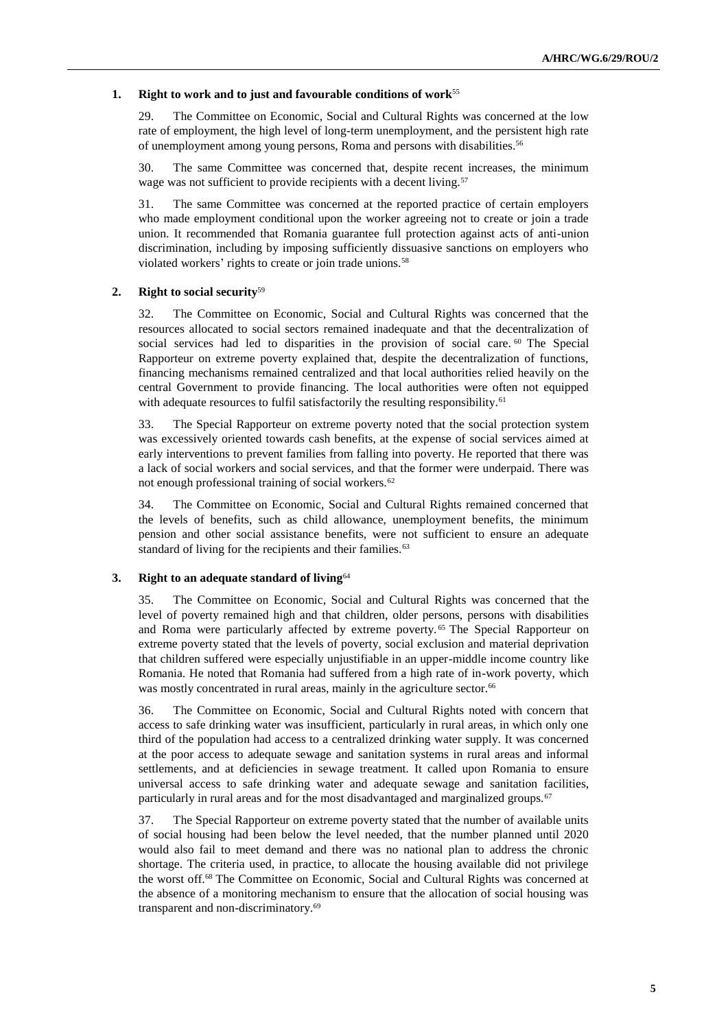## **1. Right to work and to just and favourable conditions of work**<sup>55</sup>

29. The Committee on Economic, Social and Cultural Rights was concerned at the low rate of employment, the high level of long-term unemployment, and the persistent high rate of unemployment among young persons, Roma and persons with disabilities.<sup>56</sup>

30. The same Committee was concerned that, despite recent increases, the minimum wage was not sufficient to provide recipients with a decent living.<sup>57</sup>

31. The same Committee was concerned at the reported practice of certain employers who made employment conditional upon the worker agreeing not to create or join a trade union. It recommended that Romania guarantee full protection against acts of anti-union discrimination, including by imposing sufficiently dissuasive sanctions on employers who violated workers' rights to create or join trade unions.<sup>58</sup>

## **2. Right to social security**<sup>59</sup>

32. The Committee on Economic, Social and Cultural Rights was concerned that the resources allocated to social sectors remained inadequate and that the decentralization of social services had led to disparities in the provision of social care. <sup>60</sup> The Special Rapporteur on extreme poverty explained that, despite the decentralization of functions, financing mechanisms remained centralized and that local authorities relied heavily on the central Government to provide financing. The local authorities were often not equipped with adequate resources to fulfil satisfactorily the resulting responsibility.<sup>61</sup>

33. The Special Rapporteur on extreme poverty noted that the social protection system was excessively oriented towards cash benefits, at the expense of social services aimed at early interventions to prevent families from falling into poverty. He reported that there was a lack of social workers and social services, and that the former were underpaid. There was not enough professional training of social workers.<sup>62</sup>

34. The Committee on Economic, Social and Cultural Rights remained concerned that the levels of benefits, such as child allowance, unemployment benefits, the minimum pension and other social assistance benefits, were not sufficient to ensure an adequate standard of living for the recipients and their families.<sup>63</sup>

## **3. Right to an adequate standard of living**<sup>64</sup>

35. The Committee on Economic, Social and Cultural Rights was concerned that the level of poverty remained high and that children, older persons, persons with disabilities and Roma were particularly affected by extreme poverty. <sup>65</sup> The Special Rapporteur on extreme poverty stated that the levels of poverty, social exclusion and material deprivation that children suffered were especially unjustifiable in an upper-middle income country like Romania. He noted that Romania had suffered from a high rate of in-work poverty, which was mostly concentrated in rural areas, mainly in the agriculture sector.<sup>66</sup>

36. The Committee on Economic, Social and Cultural Rights noted with concern that access to safe drinking water was insufficient, particularly in rural areas, in which only one third of the population had access to a centralized drinking water supply. It was concerned at the poor access to adequate sewage and sanitation systems in rural areas and informal settlements, and at deficiencies in sewage treatment. It called upon Romania to ensure universal access to safe drinking water and adequate sewage and sanitation facilities, particularly in rural areas and for the most disadvantaged and marginalized groups.<sup>67</sup>

37. The Special Rapporteur on extreme poverty stated that the number of available units of social housing had been below the level needed, that the number planned until 2020 would also fail to meet demand and there was no national plan to address the chronic shortage. The criteria used, in practice, to allocate the housing available did not privilege the worst off.<sup>68</sup> The Committee on Economic, Social and Cultural Rights was concerned at the absence of a monitoring mechanism to ensure that the allocation of social housing was transparent and non-discriminatory.69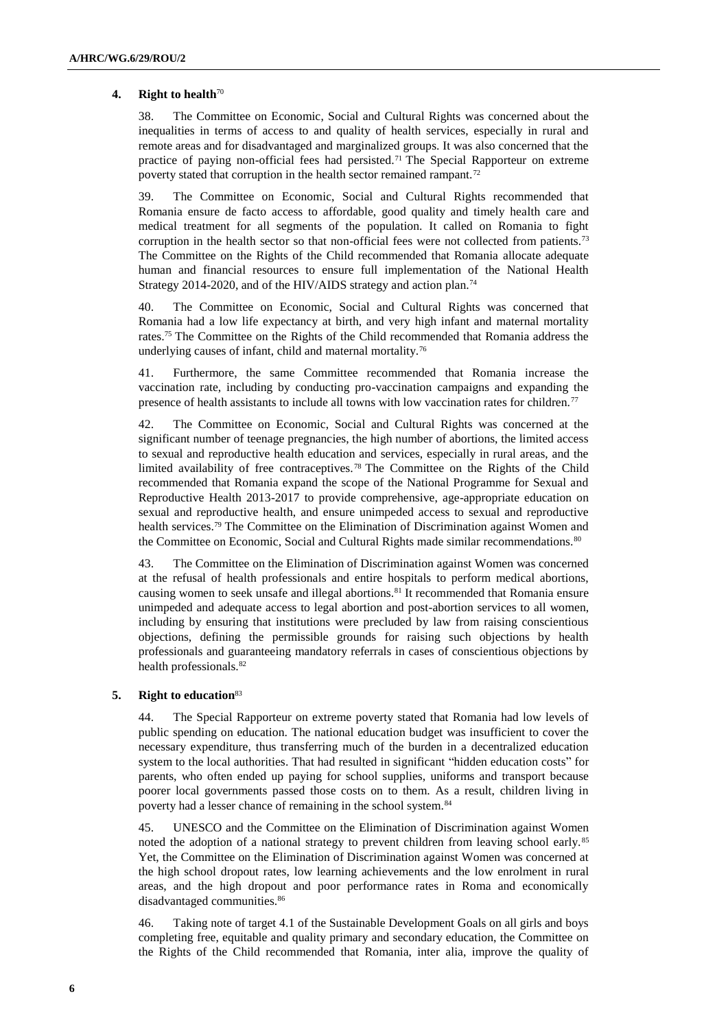### **4. Right to health**<sup>70</sup>

38. The Committee on Economic, Social and Cultural Rights was concerned about the inequalities in terms of access to and quality of health services, especially in rural and remote areas and for disadvantaged and marginalized groups. It was also concerned that the practice of paying non-official fees had persisted. <sup>71</sup> The Special Rapporteur on extreme poverty stated that corruption in the health sector remained rampant.<sup>72</sup>

39. The Committee on Economic, Social and Cultural Rights recommended that Romania ensure de facto access to affordable, good quality and timely health care and medical treatment for all segments of the population. It called on Romania to fight corruption in the health sector so that non-official fees were not collected from patients.<sup>73</sup> The Committee on the Rights of the Child recommended that Romania allocate adequate human and financial resources to ensure full implementation of the National Health Strategy 2014-2020, and of the HIV/AIDS strategy and action plan.<sup>74</sup>

40. The Committee on Economic, Social and Cultural Rights was concerned that Romania had a low life expectancy at birth, and very high infant and maternal mortality rates.<sup>75</sup> The Committee on the Rights of the Child recommended that Romania address the underlying causes of infant, child and maternal mortality.<sup>76</sup>

41. Furthermore, the same Committee recommended that Romania increase the vaccination rate, including by conducting pro-vaccination campaigns and expanding the presence of health assistants to include all towns with low vaccination rates for children.<sup>77</sup>

42. The Committee on Economic, Social and Cultural Rights was concerned at the significant number of teenage pregnancies, the high number of abortions, the limited access to sexual and reproductive health education and services, especially in rural areas, and the limited availability of free contraceptives. <sup>78</sup> The Committee on the Rights of the Child recommended that Romania expand the scope of the National Programme for Sexual and Reproductive Health 2013-2017 to provide comprehensive, age-appropriate education on sexual and reproductive health, and ensure unimpeded access to sexual and reproductive health services.<sup>79</sup> The Committee on the Elimination of Discrimination against Women and the Committee on Economic, Social and Cultural Rights made similar recommendations.<sup>80</sup>

43. The Committee on the Elimination of Discrimination against Women was concerned at the refusal of health professionals and entire hospitals to perform medical abortions, causing women to seek unsafe and illegal abortions.<sup>81</sup> It recommended that Romania ensure unimpeded and adequate access to legal abortion and post-abortion services to all women, including by ensuring that institutions were precluded by law from raising conscientious objections, defining the permissible grounds for raising such objections by health professionals and guaranteeing mandatory referrals in cases of conscientious objections by health professionals.<sup>82</sup>

### **5. Right to education**<sup>83</sup>

44. The Special Rapporteur on extreme poverty stated that Romania had low levels of public spending on education. The national education budget was insufficient to cover the necessary expenditure, thus transferring much of the burden in a decentralized education system to the local authorities. That had resulted in significant "hidden education costs" for parents, who often ended up paying for school supplies, uniforms and transport because poorer local governments passed those costs on to them. As a result, children living in poverty had a lesser chance of remaining in the school system.<sup>84</sup>

45. UNESCO and the Committee on the Elimination of Discrimination against Women noted the adoption of a national strategy to prevent children from leaving school early. <sup>85</sup> Yet, the Committee on the Elimination of Discrimination against Women was concerned at the high school dropout rates, low learning achievements and the low enrolment in rural areas, and the high dropout and poor performance rates in Roma and economically disadvantaged communities.<sup>86</sup>

46. Taking note of target 4.1 of the Sustainable Development Goals on all girls and boys completing free, equitable and quality primary and secondary education, the Committee on the Rights of the Child recommended that Romania, inter alia, improve the quality of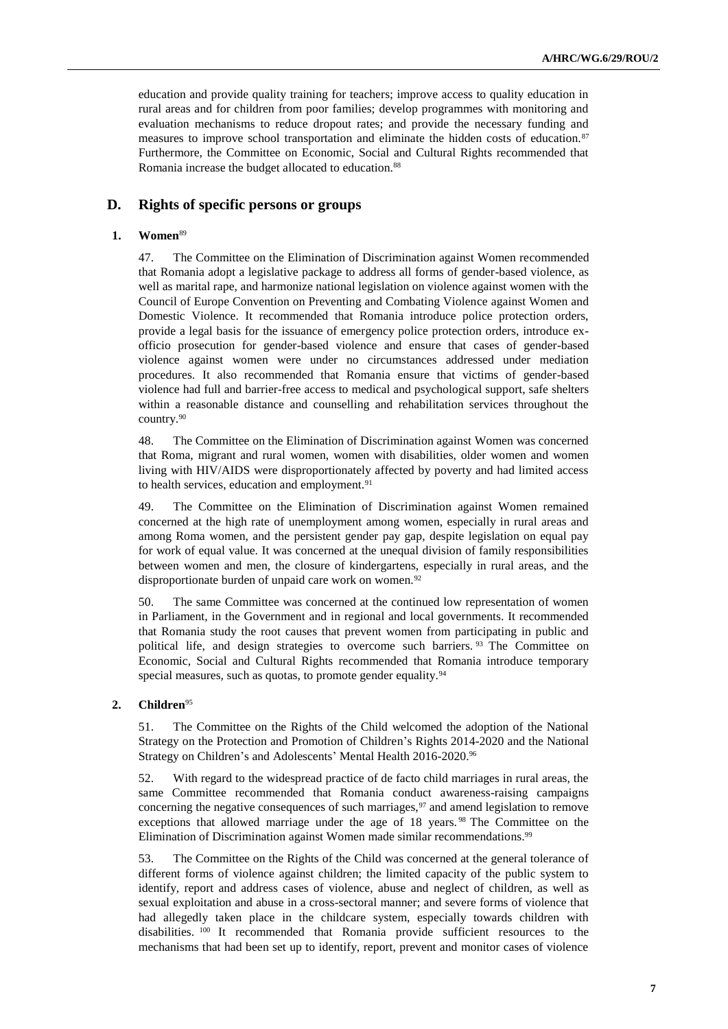education and provide quality training for teachers; improve access to quality education in rural areas and for children from poor families; develop programmes with monitoring and evaluation mechanisms to reduce dropout rates; and provide the necessary funding and measures to improve school transportation and eliminate the hidden costs of education.<sup>87</sup> Furthermore, the Committee on Economic, Social and Cultural Rights recommended that Romania increase the budget allocated to education.<sup>88</sup>

## **D. Rights of specific persons or groups**

## **1. Women**<sup>89</sup>

47. The Committee on the Elimination of Discrimination against Women recommended that Romania adopt a legislative package to address all forms of gender-based violence, as well as marital rape, and harmonize national legislation on violence against women with the Council of Europe Convention on Preventing and Combating Violence against Women and Domestic Violence. It recommended that Romania introduce police protection orders, provide a legal basis for the issuance of emergency police protection orders, introduce exofficio prosecution for gender-based violence and ensure that cases of gender-based violence against women were under no circumstances addressed under mediation procedures. It also recommended that Romania ensure that victims of gender-based violence had full and barrier-free access to medical and psychological support, safe shelters within a reasonable distance and counselling and rehabilitation services throughout the country.<sup>90</sup>

48. The Committee on the Elimination of Discrimination against Women was concerned that Roma, migrant and rural women, women with disabilities, older women and women living with HIV/AIDS were disproportionately affected by poverty and had limited access to health services, education and employment.<sup>91</sup>

49. The Committee on the Elimination of Discrimination against Women remained concerned at the high rate of unemployment among women, especially in rural areas and among Roma women, and the persistent gender pay gap, despite legislation on equal pay for work of equal value. It was concerned at the unequal division of family responsibilities between women and men, the closure of kindergartens, especially in rural areas, and the disproportionate burden of unpaid care work on women.<sup>92</sup>

50. The same Committee was concerned at the continued low representation of women in Parliament, in the Government and in regional and local governments. It recommended that Romania study the root causes that prevent women from participating in public and political life, and design strategies to overcome such barriers. <sup>93</sup> The Committee on Economic, Social and Cultural Rights recommended that Romania introduce temporary special measures, such as quotas, to promote gender equality.<sup>94</sup>

### **2. Children**<sup>95</sup>

51. The Committee on the Rights of the Child welcomed the adoption of the National Strategy on the Protection and Promotion of Children's Rights 2014-2020 and the National Strategy on Children's and Adolescents' Mental Health 2016-2020.<sup>96</sup>

52. With regard to the widespread practice of de facto child marriages in rural areas, the same Committee recommended that Romania conduct awareness-raising campaigns concerning the negative consequences of such marriages, $97$  and amend legislation to remove exceptions that allowed marriage under the age of 18 years. <sup>98</sup> The Committee on the Elimination of Discrimination against Women made similar recommendations.<sup>99</sup>

53. The Committee on the Rights of the Child was concerned at the general tolerance of different forms of violence against children; the limited capacity of the public system to identify, report and address cases of violence, abuse and neglect of children, as well as sexual exploitation and abuse in a cross-sectoral manner; and severe forms of violence that had allegedly taken place in the childcare system, especially towards children with disabilities. <sup>100</sup> It recommended that Romania provide sufficient resources to the mechanisms that had been set up to identify, report, prevent and monitor cases of violence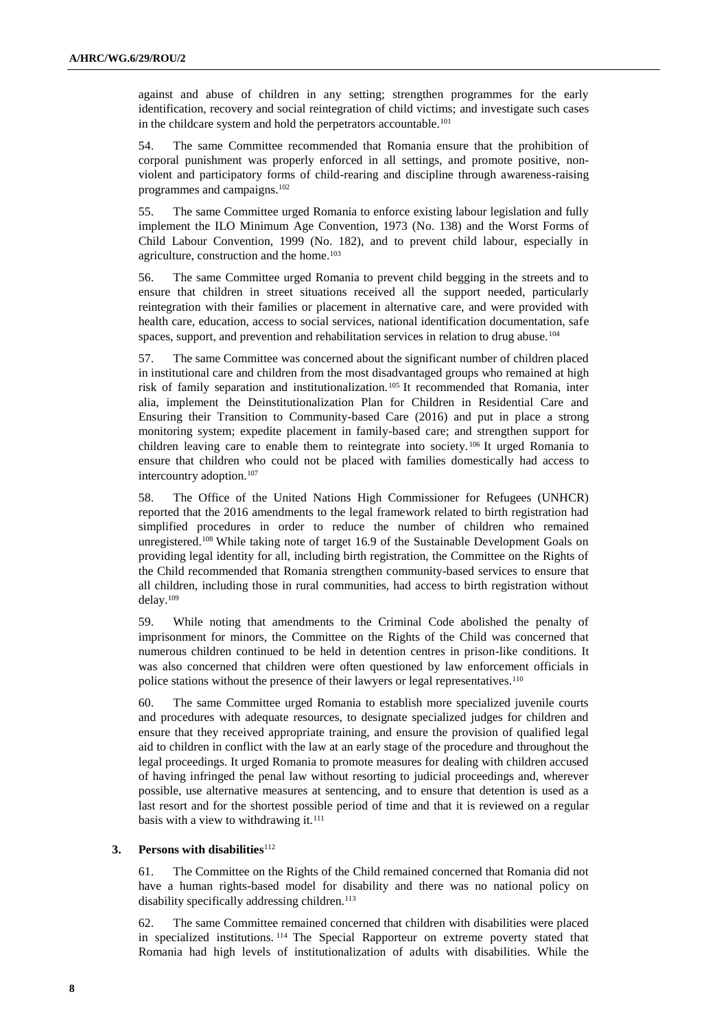against and abuse of children in any setting; strengthen programmes for the early identification, recovery and social reintegration of child victims; and investigate such cases in the childcare system and hold the perpetrators accountable.<sup>101</sup>

54. The same Committee recommended that Romania ensure that the prohibition of corporal punishment was properly enforced in all settings, and promote positive, nonviolent and participatory forms of child-rearing and discipline through awareness-raising programmes and campaigns.<sup>102</sup>

55. The same Committee urged Romania to enforce existing labour legislation and fully implement the ILO Minimum Age Convention, 1973 (No. 138) and the Worst Forms of Child Labour Convention, 1999 (No. 182), and to prevent child labour, especially in agriculture, construction and the home.<sup>103</sup>

56. The same Committee urged Romania to prevent child begging in the streets and to ensure that children in street situations received all the support needed, particularly reintegration with their families or placement in alternative care, and were provided with health care, education, access to social services, national identification documentation, safe spaces, support, and prevention and rehabilitation services in relation to drug abuse.<sup>104</sup>

57. The same Committee was concerned about the significant number of children placed in institutional care and children from the most disadvantaged groups who remained at high risk of family separation and institutionalization.<sup>105</sup> It recommended that Romania, inter alia, implement the Deinstitutionalization Plan for Children in Residential Care and Ensuring their Transition to Community-based Care (2016) and put in place a strong monitoring system; expedite placement in family-based care; and strengthen support for children leaving care to enable them to reintegrate into society. <sup>106</sup> It urged Romania to ensure that children who could not be placed with families domestically had access to intercountry adoption.<sup>107</sup>

58. The Office of the United Nations High Commissioner for Refugees (UNHCR) reported that the 2016 amendments to the legal framework related to birth registration had simplified procedures in order to reduce the number of children who remained unregistered.<sup>108</sup> While taking note of target 16.9 of the Sustainable Development Goals on providing legal identity for all, including birth registration, the Committee on the Rights of the Child recommended that Romania strengthen community-based services to ensure that all children, including those in rural communities, had access to birth registration without delay.<sup>109</sup>

59. While noting that amendments to the Criminal Code abolished the penalty of imprisonment for minors, the Committee on the Rights of the Child was concerned that numerous children continued to be held in detention centres in prison-like conditions. It was also concerned that children were often questioned by law enforcement officials in police stations without the presence of their lawyers or legal representatives.<sup>110</sup>

60. The same Committee urged Romania to establish more specialized juvenile courts and procedures with adequate resources, to designate specialized judges for children and ensure that they received appropriate training, and ensure the provision of qualified legal aid to children in conflict with the law at an early stage of the procedure and throughout the legal proceedings. It urged Romania to promote measures for dealing with children accused of having infringed the penal law without resorting to judicial proceedings and, wherever possible, use alternative measures at sentencing, and to ensure that detention is used as a last resort and for the shortest possible period of time and that it is reviewed on a regular basis with a view to withdrawing it.<sup>111</sup>

### **3.** Persons with disabilities<sup>112</sup>

61. The Committee on the Rights of the Child remained concerned that Romania did not have a human rights-based model for disability and there was no national policy on disability specifically addressing children.<sup>113</sup>

62. The same Committee remained concerned that children with disabilities were placed in specialized institutions. <sup>114</sup> The Special Rapporteur on extreme poverty stated that Romania had high levels of institutionalization of adults with disabilities. While the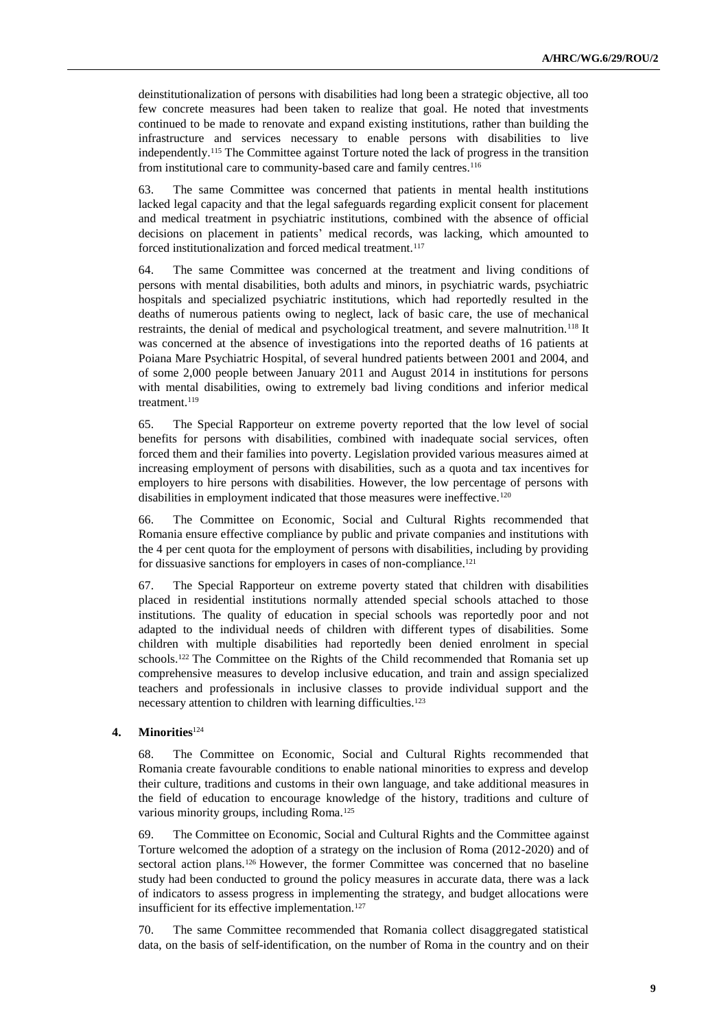deinstitutionalization of persons with disabilities had long been a strategic objective, all too few concrete measures had been taken to realize that goal. He noted that investments continued to be made to renovate and expand existing institutions, rather than building the infrastructure and services necessary to enable persons with disabilities to live independently.<sup>115</sup> The Committee against Torture noted the lack of progress in the transition from institutional care to community-based care and family centres.<sup>116</sup>

63. The same Committee was concerned that patients in mental health institutions lacked legal capacity and that the legal safeguards regarding explicit consent for placement and medical treatment in psychiatric institutions, combined with the absence of official decisions on placement in patients' medical records, was lacking, which amounted to forced institutionalization and forced medical treatment.<sup>117</sup>

64. The same Committee was concerned at the treatment and living conditions of persons with mental disabilities, both adults and minors, in psychiatric wards, psychiatric hospitals and specialized psychiatric institutions, which had reportedly resulted in the deaths of numerous patients owing to neglect, lack of basic care, the use of mechanical restraints, the denial of medical and psychological treatment, and severe malnutrition.<sup>118</sup> It was concerned at the absence of investigations into the reported deaths of 16 patients at Poiana Mare Psychiatric Hospital, of several hundred patients between 2001 and 2004, and of some 2,000 people between January 2011 and August 2014 in institutions for persons with mental disabilities, owing to extremely bad living conditions and inferior medical treatment.<sup>119</sup>

65. The Special Rapporteur on extreme poverty reported that the low level of social benefits for persons with disabilities, combined with inadequate social services, often forced them and their families into poverty. Legislation provided various measures aimed at increasing employment of persons with disabilities, such as a quota and tax incentives for employers to hire persons with disabilities. However, the low percentage of persons with disabilities in employment indicated that those measures were ineffective.<sup>120</sup>

66. The Committee on Economic, Social and Cultural Rights recommended that Romania ensure effective compliance by public and private companies and institutions with the 4 per cent quota for the employment of persons with disabilities, including by providing for dissuasive sanctions for employers in cases of non-compliance.<sup>121</sup>

67. The Special Rapporteur on extreme poverty stated that children with disabilities placed in residential institutions normally attended special schools attached to those institutions. The quality of education in special schools was reportedly poor and not adapted to the individual needs of children with different types of disabilities. Some children with multiple disabilities had reportedly been denied enrolment in special schools.<sup>122</sup> The Committee on the Rights of the Child recommended that Romania set up comprehensive measures to develop inclusive education, and train and assign specialized teachers and professionals in inclusive classes to provide individual support and the necessary attention to children with learning difficulties.<sup>123</sup>

### **4. Minorities**<sup>124</sup>

68. The Committee on Economic, Social and Cultural Rights recommended that Romania create favourable conditions to enable national minorities to express and develop their culture, traditions and customs in their own language, and take additional measures in the field of education to encourage knowledge of the history, traditions and culture of various minority groups, including Roma.<sup>125</sup>

69. The Committee on Economic, Social and Cultural Rights and the Committee against Torture welcomed the adoption of a strategy on the inclusion of Roma (2012-2020) and of sectoral action plans.<sup>126</sup> However, the former Committee was concerned that no baseline study had been conducted to ground the policy measures in accurate data, there was a lack of indicators to assess progress in implementing the strategy, and budget allocations were insufficient for its effective implementation.<sup>127</sup>

70. The same Committee recommended that Romania collect disaggregated statistical data, on the basis of self-identification, on the number of Roma in the country and on their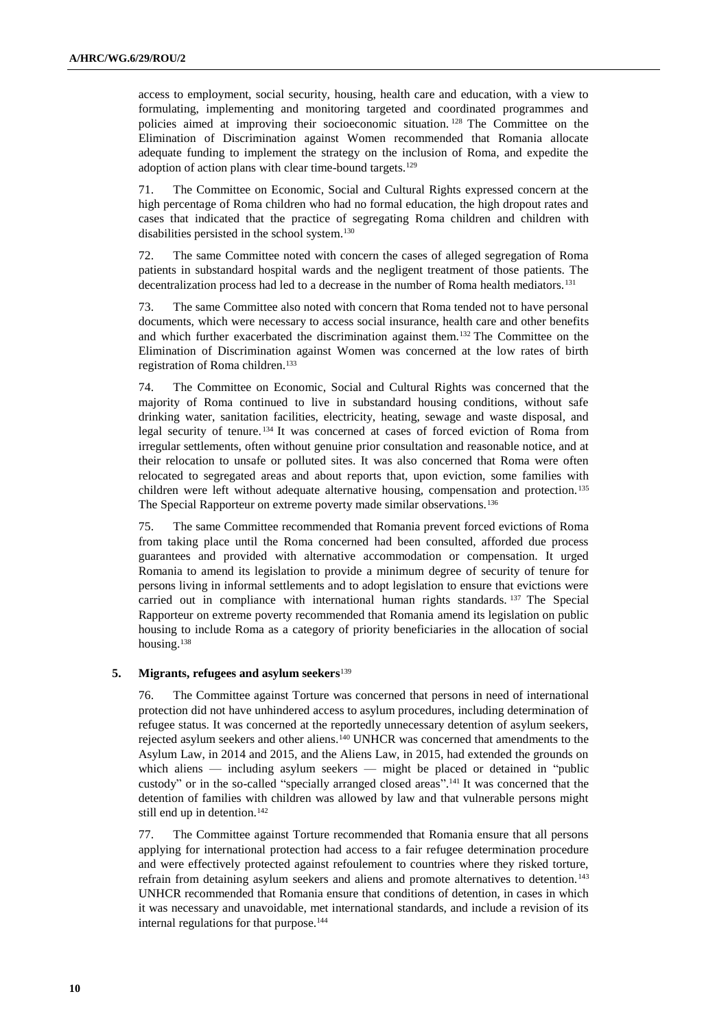access to employment, social security, housing, health care and education, with a view to formulating, implementing and monitoring targeted and coordinated programmes and policies aimed at improving their socioeconomic situation. <sup>128</sup> The Committee on the Elimination of Discrimination against Women recommended that Romania allocate adequate funding to implement the strategy on the inclusion of Roma, and expedite the adoption of action plans with clear time-bound targets.<sup>129</sup>

71. The Committee on Economic, Social and Cultural Rights expressed concern at the high percentage of Roma children who had no formal education, the high dropout rates and cases that indicated that the practice of segregating Roma children and children with disabilities persisted in the school system.<sup>130</sup>

72. The same Committee noted with concern the cases of alleged segregation of Roma patients in substandard hospital wards and the negligent treatment of those patients. The decentralization process had led to a decrease in the number of Roma health mediators.<sup>131</sup>

73. The same Committee also noted with concern that Roma tended not to have personal documents, which were necessary to access social insurance, health care and other benefits and which further exacerbated the discrimination against them.<sup>132</sup> The Committee on the Elimination of Discrimination against Women was concerned at the low rates of birth registration of Roma children.<sup>133</sup>

74. The Committee on Economic, Social and Cultural Rights was concerned that the majority of Roma continued to live in substandard housing conditions, without safe drinking water, sanitation facilities, electricity, heating, sewage and waste disposal, and legal security of tenure. <sup>134</sup> It was concerned at cases of forced eviction of Roma from irregular settlements, often without genuine prior consultation and reasonable notice, and at their relocation to unsafe or polluted sites. It was also concerned that Roma were often relocated to segregated areas and about reports that, upon eviction, some families with children were left without adequate alternative housing, compensation and protection. <sup>135</sup> The Special Rapporteur on extreme poverty made similar observations.<sup>136</sup>

75. The same Committee recommended that Romania prevent forced evictions of Roma from taking place until the Roma concerned had been consulted, afforded due process guarantees and provided with alternative accommodation or compensation. It urged Romania to amend its legislation to provide a minimum degree of security of tenure for persons living in informal settlements and to adopt legislation to ensure that evictions were carried out in compliance with international human rights standards. <sup>137</sup> The Special Rapporteur on extreme poverty recommended that Romania amend its legislation on public housing to include Roma as a category of priority beneficiaries in the allocation of social housing.<sup>138</sup>

### **5. Migrants, refugees and asylum seekers**<sup>139</sup>

76. The Committee against Torture was concerned that persons in need of international protection did not have unhindered access to asylum procedures, including determination of refugee status. It was concerned at the reportedly unnecessary detention of asylum seekers, rejected asylum seekers and other aliens.<sup>140</sup> UNHCR was concerned that amendments to the Asylum Law, in 2014 and 2015, and the Aliens Law, in 2015, had extended the grounds on which aliens — including asylum seekers — might be placed or detained in "public custody" or in the so-called "specially arranged closed areas". <sup>141</sup> It was concerned that the detention of families with children was allowed by law and that vulnerable persons might still end up in detention.<sup>142</sup>

77. The Committee against Torture recommended that Romania ensure that all persons applying for international protection had access to a fair refugee determination procedure and were effectively protected against refoulement to countries where they risked torture, refrain from detaining asylum seekers and aliens and promote alternatives to detention.<sup>143</sup> UNHCR recommended that Romania ensure that conditions of detention, in cases in which it was necessary and unavoidable, met international standards, and include a revision of its internal regulations for that purpose.<sup>144</sup>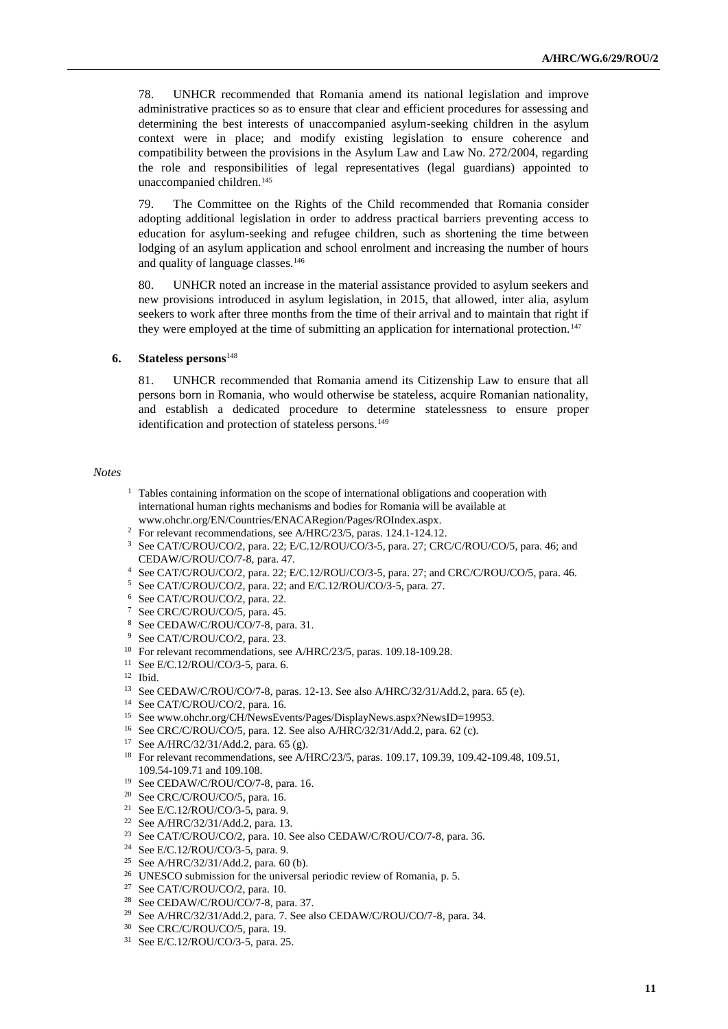78. UNHCR recommended that Romania amend its national legislation and improve administrative practices so as to ensure that clear and efficient procedures for assessing and determining the best interests of unaccompanied asylum-seeking children in the asylum context were in place; and modify existing legislation to ensure coherence and compatibility between the provisions in the Asylum Law and Law No. 272/2004, regarding the role and responsibilities of legal representatives (legal guardians) appointed to unaccompanied children.<sup>145</sup>

79. The Committee on the Rights of the Child recommended that Romania consider adopting additional legislation in order to address practical barriers preventing access to education for asylum-seeking and refugee children, such as shortening the time between lodging of an asylum application and school enrolment and increasing the number of hours and quality of language classes.<sup>146</sup>

80. UNHCR noted an increase in the material assistance provided to asylum seekers and new provisions introduced in asylum legislation, in 2015, that allowed, inter alia, asylum seekers to work after three months from the time of their arrival and to maintain that right if they were employed at the time of submitting an application for international protection.<sup>147</sup>

### **6. Stateless persons**<sup>148</sup>

81. UNHCR recommended that Romania amend its Citizenship Law to ensure that all persons born in Romania, who would otherwise be stateless, acquire Romanian nationality, and establish a dedicated procedure to determine statelessness to ensure proper identification and protection of stateless persons.<sup>149</sup>

#### *Notes*

- <sup>1</sup> Tables containing information on the scope of international obligations and cooperation with international human rights mechanisms and bodies for Romania will be available at [www.ohchr.org/EN/Countries/ENACARegion/Pages/ROIndex.aspx.](http://www.ohchr.org/EN/Countries/ENACARegion/Pages/ROIndex.aspx)
- <sup>2</sup> For relevant recommendations, see A/HRC/23/5, paras. 124.1-124.12.
- <sup>3</sup> See CAT/C/ROU/CO/2, para. 22; E/C.12/ROU/CO/3-5, para. 27; CRC/C/ROU/CO/5, para. 46; and CEDAW/C/ROU/CO/7-8, para. 47.
- <sup>4</sup> See CAT/C/ROU/CO/2, para. 22; E/C.12/ROU/CO/3-5, para. 27; and CRC/C/ROU/CO/5, para. 46.
- <sup>5</sup> See CAT/C/ROU/CO/2, para. 22; and E/C.12/ROU/CO/3-5, para. 27.
- <sup>6</sup> See CAT/C/ROU/CO/2, para. 22.
- <sup>7</sup> See CRC/C/ROU/CO/5, para. 45.
- <sup>8</sup> See CEDAW/C/ROU/CO/7-8, para. 31.
- <sup>9</sup> See CAT/C/ROU/CO/2, para. 23.
- <sup>10</sup> For relevant recommendations, see A/HRC/23/5, paras. 109.18-109.28.
- <sup>11</sup> See E/C.12/ROU/CO/3-5, para. 6.
- <sup>12</sup> Ibid.
- <sup>13</sup> See CEDAW/C/ROU/CO/7-8, paras. 12-13. See also A/HRC/32/31/Add.2, para. 65 (e).
- <sup>14</sup> See CAT/C/ROU/CO/2, para. 16.
- <sup>15</sup> See www.ohchr.org/CH/NewsEvents/Pages/DisplayNews.aspx?NewsID=19953.
- <sup>16</sup> See CRC/C/ROU/CO/5, para. 12. See also A/HRC/32/31/Add.2, para. 62 (c).
- <sup>17</sup> See A/HRC/32/31/Add.2, para. 65 (g).
- <sup>18</sup> For relevant recommendations, see A/HRC/23/5, paras. 109.17, 109.39, 109.42-109.48, 109.51, 109.54-109.71 and 109.108.
- <sup>19</sup> See CEDAW/C/ROU/CO/7-8, para. 16.
- <sup>20</sup> See CRC/C/ROU/CO/5, para. 16.
- <sup>21</sup> See E/C.12/ROU/CO/3-5, para. 9.
- <sup>22</sup> See A/HRC/32/31/Add.2, para. 13.
- <sup>23</sup> See CAT/C/ROU/CO/2, para. 10. See also CEDAW/C/ROU/CO/7-8, para. 36.
- <sup>24</sup> See E/C.12/ROU/CO/3-5, para. 9.
- <sup>25</sup> See A/HRC/32/31/Add.2, para. 60 (b).
- <sup>26</sup> UNESCO submission for the universal periodic review of Romania, p. 5.
- <sup>27</sup> See CAT/C/ROU/CO/2, para. 10.
- <sup>28</sup> See CEDAW/C/ROU/CO/7-8, para. 37.
- <sup>29</sup> See A/HRC/32/31/Add.2, para. 7. See also CEDAW/C/ROU/CO/7-8, para. 34.
- <sup>30</sup> See CRC/C/ROU/CO/5, para. 19.
- <sup>31</sup> See E/C.12/ROU/CO/3-5, para. 25.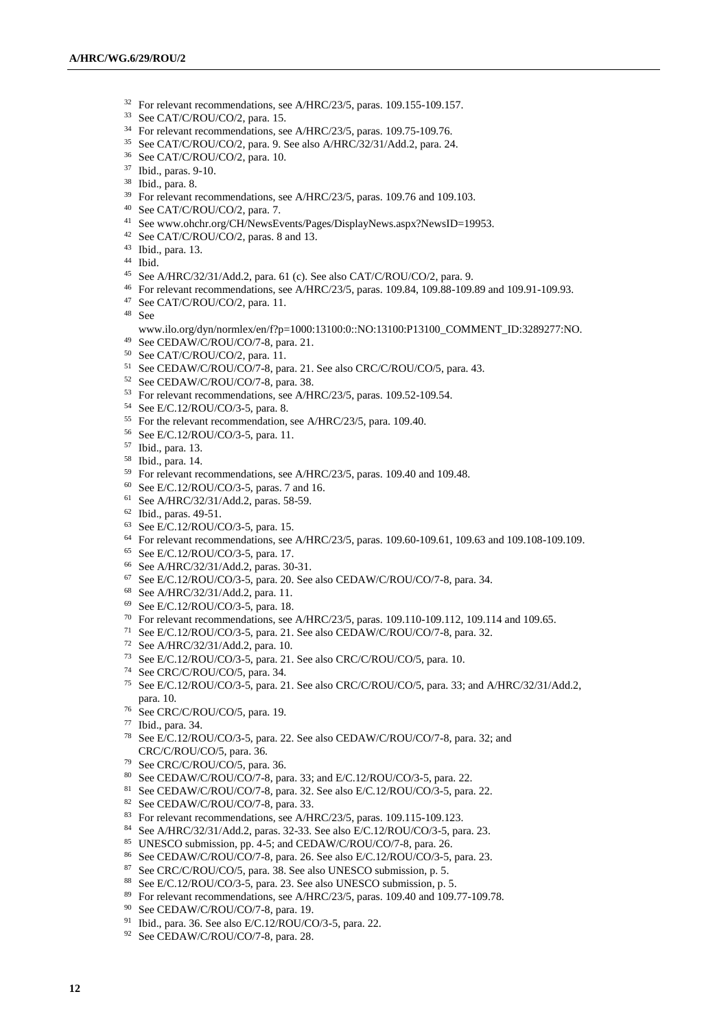- <sup>32</sup> For relevant recommendations, see A/HRC/23/5, paras. 109.155-109.157.
- See CAT/C/ROU/CO/2, para. 15.
- <sup>34</sup> For relevant recommendations, see A/HRC/23/5, paras. 109.75-109.76.
- See CAT/C/ROU/CO/2, para. 9. See also A/HRC/32/31/Add.2, para. 24.
- See CAT/C/ROU/CO/2, para. 10.
- Ibid., paras. 9-10.
- Ibid., para. 8.
- <sup>39</sup> For relevant recommendations, see A/HRC/23/5, paras. 109.76 and 109.103.
- See CAT/C/ROU/CO/2, para. 7.
- See www.ohchr.org/CH/NewsEvents/Pages/DisplayNews.aspx?NewsID=19953.
- See CAT/C/ROU/CO/2, paras. 8 and 13.
- Ibid., para. 13.
- Ibid.
- See A/HRC/32/31/Add.2, para. 61 (c). See also CAT/C/ROU/CO/2, para. 9.
- For relevant recommendations, see A/HRC/23/5, paras. 109.84, 109.88-109.89 and 109.91-109.93.
- See CAT/C/ROU/CO/2, para. 11.
- See
- www.ilo.org/dyn/normlex/en/f?p=1000:13100:0::NO:13100:P13100\_COMMENT\_ID:3289277:NO.
- See CEDAW/C/ROU/CO/7-8, para. 21.
- See CAT/C/ROU/CO/2, para. 11.
- See CEDAW/C/ROU/CO/7-8, para. 21. See also CRC/C/ROU/CO/5, para. 43.
- See CEDAW/C/ROU/CO/7-8, para. 38.
- For relevant recommendations, see A/HRC/23/5, paras. 109.52-109.54.
- See E/C.12/ROU/CO/3-5, para. 8.
- For the relevant recommendation, see A/HRC/23/5, para. 109.40.
- See E/C.12/ROU/CO/3-5, para. 11.
- Ibid., para. 13.
- Ibid., para. 14.
- For relevant recommendations, see A/HRC/23/5, paras. 109.40 and 109.48.
- See E/C.12/ROU/CO/3-5, paras. 7 and 16.
- See A/HRC/32/31/Add.2, paras. 58-59.
- Ibid., paras. 49-51.
- See E/C.12/ROU/CO/3-5, para. 15.
- For relevant recommendations, see A/HRC/23/5, paras. 109.60-109.61, 109.63 and 109.108-109.109.
- See E/C.12/ROU/CO/3-5, para. 17.
- See A/HRC/32/31/Add.2, paras. 30-31.
- See E/C.12/ROU/CO/3-5, para. 20. See also CEDAW/C/ROU/CO/7-8, para. 34.
- See A/HRC/32/31/Add.2, para. 11.
- See E/C.12/ROU/CO/3-5, para. 18.
- For relevant recommendations, see A/HRC/23/5, paras. 109.110-109.112, 109.114 and 109.65.
- See E/C.12/ROU/CO/3-5, para. 21. See also CEDAW/C/ROU/CO/7-8, para. 32.
- See A/HRC/32/31/Add.2, para. 10.
- See E/C.12/ROU/CO/3-5, para. 21. See also CRC/C/ROU/CO/5, para. 10.
- See CRC/C/ROU/CO/5, para. 34.
- See E/C.12/ROU/CO/3-5, para. 21. See also CRC/C/ROU/CO/5, para. 33; and A/HRC/32/31/Add.2, para. 10.
- See CRC/C/ROU/CO/5, para. 19.
- Ibid., para. 34.
- See E/C.12/ROU/CO/3-5, para. 22. See also CEDAW/C/ROU/CO/7-8, para. 32; and CRC/C/ROU/CO/5, para. 36.
- See CRC/C/ROU/CO/5, para. 36.
- See CEDAW/C/ROU/CO/7-8, para. 33; and E/C.12/ROU/CO/3-5, para. 22.
- See CEDAW/C/ROU/CO/7-8, para. 32. See also E/C.12/ROU/CO/3-5, para. 22.
- 82 See CEDAW/C/ROU/CO/7-8, para. 33.
- For relevant recommendations, see A/HRC/23/5, paras. 109.115-109.123.
- See A/HRC/32/31/Add.2, paras. 32-33. See also E/C.12/ROU/CO/3-5, para. 23.
- UNESCO submission, pp. 4-5; and CEDAW/C/ROU/CO/7-8, para. 26.
- See CEDAW/C/ROU/CO/7-8, para. 26. See also E/C.12/ROU/CO/3-5, para. 23.
- See CRC/C/ROU/CO/5, para. 38. See also UNESCO submission, p. 5.
- See E/C.12/ROU/CO/3-5, para. 23. See also UNESCO submission, p. 5.
- For relevant recommendations, see A/HRC/23/5, paras. 109.40 and 109.77-109.78.
- See CEDAW/C/ROU/CO/7-8, para. 19.
- Ibid., para. 36. See also E/C.12/ROU/CO/3-5, para. 22.
- 92 See CEDAW/C/ROU/CO/7-8, para. 28.